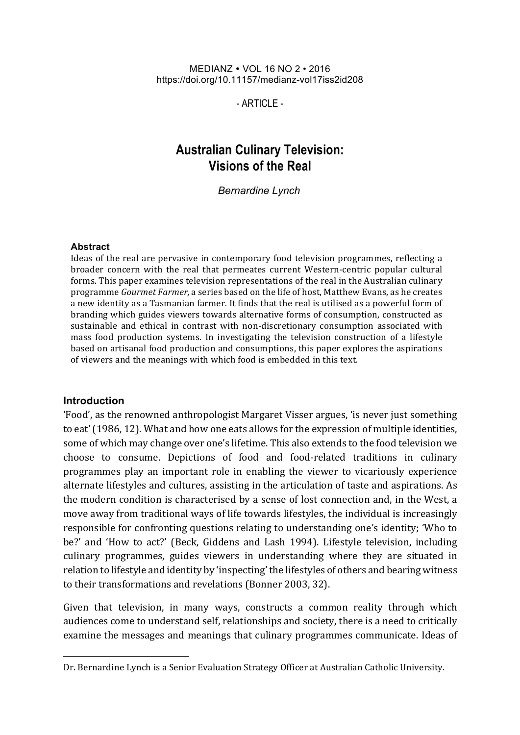#### MEDIANZ VOL 16 NO 2 • 2016 https://doi.org/10.11157/medianz-vol17iss2id208

 $-$  ARTICLE  $-$ 

# **Australian Culinary Television: Visions of the Real**

*Bernardine Lynch*

#### **Abstract**

Ideas of the real are pervasive in contemporary food television programmes, reflecting a broader concern with the real that permeates current Western-centric popular cultural forms. This paper examines television representations of the real in the Australian culinary programme *Gourmet Farmer*, a series based on the life of host, Matthew Evans, as he creates a new identity as a Tasmanian farmer. It finds that the real is utilised as a powerful form of branding which guides viewers towards alternative forms of consumption, constructed as sustainable and ethical in contrast with non-discretionary consumption associated with mass food production systems. In investigating the television construction of a lifestyle based on artisanal food production and consumptions, this paper explores the aspirations of viewers and the meanings with which food is embedded in this text.

#### **Introduction**

<u> 1989 - Johann Barn, mars ann an t-Amhain an t-Amhain an t-Amhain an t-Amhain an t-Amhain an t-Amhain an t-Amh</u>

'Food', as the renowned anthropologist Margaret Visser argues, 'is never just something to eat' (1986, 12). What and how one eats allows for the expression of multiple identities, some of which may change over one's lifetime. This also extends to the food television we choose to consume. Depictions of food and food-related traditions in culinary programmes play an important role in enabling the viewer to vicariously experience alternate lifestyles and cultures, assisting in the articulation of taste and aspirations. As the modern condition is characterised by a sense of lost connection and, in the West, a move away from traditional ways of life towards lifestyles, the individual is increasingly responsible for confronting questions relating to understanding one's identity; 'Who to be?' and 'How to act?' (Beck, Giddens and Lash 1994). Lifestyle television, including culinary programmes, guides viewers in understanding where they are situated in relation to lifestyle and identity by 'inspecting' the lifestyles of others and bearing witness to their transformations and revelations (Bonner 2003, 32).

Given that television, in many ways, constructs a common reality through which audiences come to understand self, relationships and society, there is a need to critically examine the messages and meanings that culinary programmes communicate. Ideas of

Dr. Bernardine Lynch is a Senior Evaluation Strategy Officer at Australian Catholic University.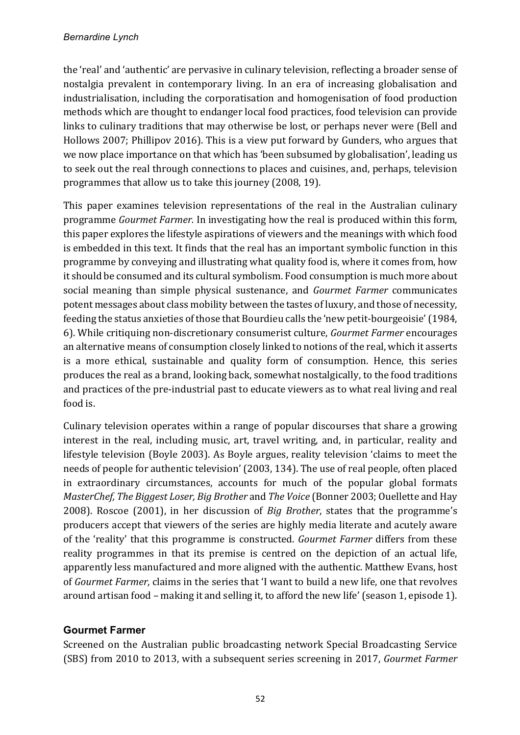the 'real' and 'authentic' are pervasive in culinary television, reflecting a broader sense of nostalgia prevalent in contemporary living. In an era of increasing globalisation and industrialisation, including the corporatisation and homogenisation of food production methods which are thought to endanger local food practices, food television can provide links to culinary traditions that may otherwise be lost, or perhaps never were (Bell and Hollows 2007; Phillipov 2016). This is a view put forward by Gunders, who argues that we now place importance on that which has 'been subsumed by globalisation', leading us to seek out the real through connections to places and cuisines, and, perhaps, television programmes that allow us to take this journey (2008, 19).

This paper examines television representations of the real in the Australian culinary programme *Gourmet Farmer*. In investigating how the real is produced within this form, this paper explores the lifestyle aspirations of viewers and the meanings with which food is embedded in this text. It finds that the real has an important symbolic function in this programme by conveying and illustrating what quality food is, where it comes from, how it should be consumed and its cultural symbolism. Food consumption is much more about social meaning than simple physical sustenance, and *Gourmet Farmer* communicates potent messages about class mobility between the tastes of luxury, and those of necessity, feeding the status anxieties of those that Bourdieu calls the 'new petit-bourgeoisie' (1984, 6). While critiquing non-discretionary consumerist culture, *Gourmet Farmer* encourages an alternative means of consumption closely linked to notions of the real, which it asserts is a more ethical, sustainable and quality form of consumption. Hence, this series produces the real as a brand, looking back, somewhat nostalgically, to the food traditions and practices of the pre-industrial past to educate viewers as to what real living and real food is.

Culinary television operates within a range of popular discourses that share a growing interest in the real, including music, art, travel writing, and, in particular, reality and lifestyle television (Boyle 2003). As Boyle argues, reality television 'claims to meet the needs of people for authentic television' (2003, 134). The use of real people, often placed in extraordinary circumstances, accounts for much of the popular global formats *MasterChef, The Biggest Loser, Big Brother* and *The Voice* (Bonner 2003; Ouellette and Hay 2008). Roscoe (2001), in her discussion of *Big Brother*, states that the programme's producers accept that viewers of the series are highly media literate and acutely aware of the 'reality' that this programme is constructed. *Gourmet Farmer* differs from these reality programmes in that its premise is centred on the depiction of an actual life, apparently less manufactured and more aligned with the authentic. Matthew Evans, host of *Gourmet Farmer*, claims in the series that 'I want to build a new life, one that revolves around artisan food - making it and selling it, to afford the new life' (season 1, episode 1).

## **Gourmet Farmer**

Screened on the Australian public broadcasting network Special Broadcasting Service (SBS) from 2010 to 2013, with a subsequent series screening in 2017, *Gourmet Farmer*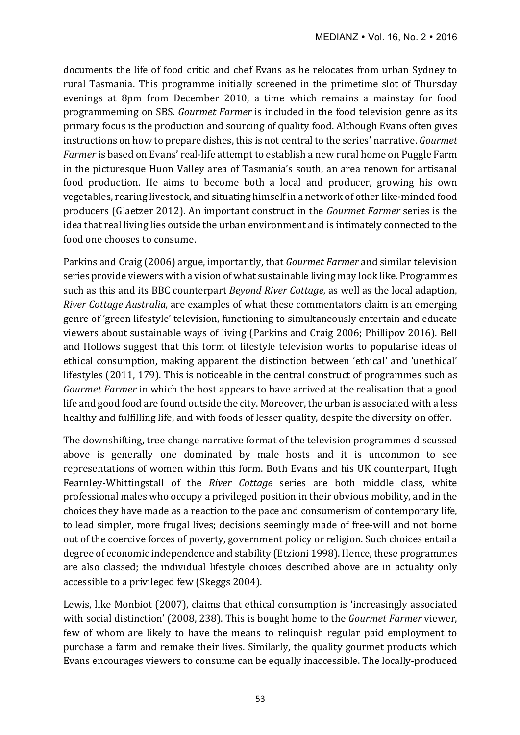documents the life of food critic and chef Evans as he relocates from urban Sydney to rural Tasmania. This programme initially screened in the primetime slot of Thursday evenings at 8pm from December 2010, a time which remains a mainstay for food programmeming on SBS. *Gourmet Farmer* is included in the food television genre as its primary focus is the production and sourcing of quality food. Although Evans often gives instructions on how to prepare dishes, this is not central to the series' narrative. *Gourmet Farmer* is based on Evans' real-life attempt to establish a new rural home on Puggle Farm in the picturesque Huon Valley area of Tasmania's south, an area renown for artisanal food production. He aims to become both a local and producer, growing his own vegetables, rearing livestock, and situating himself in a network of other like-minded food producers (Glaetzer 2012). An important construct in the *Gourmet Farmer* series is the idea that real living lies outside the urban environment and is intimately connected to the food one chooses to consume.

Parkins and Craig (2006) argue, importantly, that *Gourmet Farmer* and similar television series provide viewers with a vision of what sustainable living may look like. Programmes such as this and its BBC counterpart *Beyond River Cottage*, as well as the local adaption, *River Cottage Australia,* are examples of what these commentators claim is an emerging genre of 'green lifestyle' television, functioning to simultaneously entertain and educate viewers about sustainable ways of living (Parkins and Craig 2006; Phillipov 2016). Bell and Hollows suggest that this form of lifestyle television works to popularise ideas of ethical consumption, making apparent the distinction between 'ethical' and 'unethical' lifestyles  $(2011, 179)$ . This is noticeable in the central construct of programmes such as *Gourmet Farmer* in which the host appears to have arrived at the realisation that a good life and good food are found outside the city. Moreover, the urban is associated with a less healthy and fulfilling life, and with foods of lesser quality, despite the diversity on offer.

The downshifting, tree change narrative format of the television programmes discussed above is generally one dominated by male hosts and it is uncommon to see representations of women within this form. Both Evans and his UK counterpart, Hugh Fearnley-Whittingstall of the *River Cottage* series are both middle class, white professional males who occupy a privileged position in their obvious mobility, and in the choices they have made as a reaction to the pace and consumerism of contemporary life, to lead simpler, more frugal lives; decisions seemingly made of free-will and not borne out of the coercive forces of poverty, government policy or religion. Such choices entail a degree of economic independence and stability (Etzioni 1998). Hence, these programmes are also classed; the individual lifestyle choices described above are in actuality only accessible to a privileged few (Skeggs 2004).

Lewis, like Monbiot (2007), claims that ethical consumption is 'increasingly associated with social distinction' (2008, 238). This is bought home to the *Gourmet Farmer* viewer, few of whom are likely to have the means to relinquish regular paid employment to purchase a farm and remake their lives. Similarly, the quality gourmet products which Evans encourages viewers to consume can be equally inaccessible. The locally-produced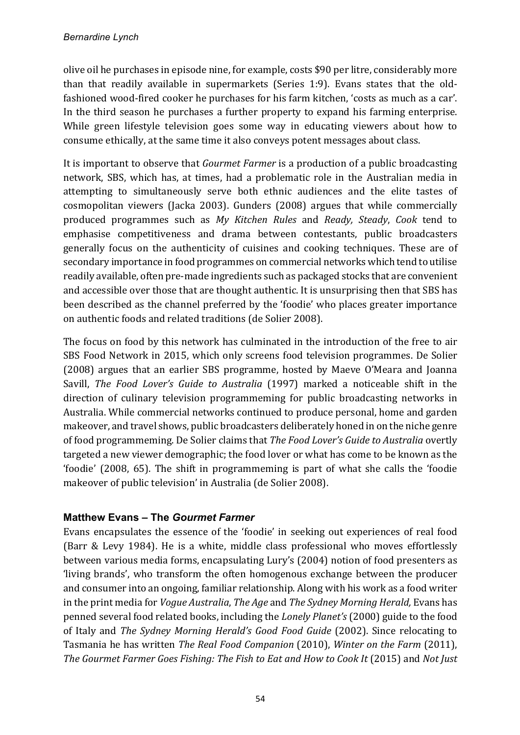olive oil he purchases in episode nine, for example, costs \$90 per litre, considerably more than that readily available in supermarkets (Series 1:9). Evans states that the oldfashioned wood-fired cooker he purchases for his farm kitchen, 'costs as much as a car'. In the third season he purchases a further property to expand his farming enterprise. While green lifestyle television goes some way in educating viewers about how to consume ethically, at the same time it also conveys potent messages about class.

It is important to observe that *Gourmet Farmer* is a production of a public broadcasting network, SBS, which has, at times, had a problematic role in the Australian media in attempting to simultaneously serve both ethnic audiences and the elite tastes of cosmopolitan viewers (Jacka 2003). Gunders (2008) argues that while commercially produced programmes such as *My Kitchen Rules* and *Ready, Steady*, *Cook*  tend to emphasise competitiveness and drama between contestants, public broadcasters generally focus on the authenticity of cuisines and cooking techniques. These are of secondary importance in food programmes on commercial networks which tend to utilise readily available, often pre-made ingredients such as packaged stocks that are convenient and accessible over those that are thought authentic. It is unsurprising then that SBS has been described as the channel preferred by the 'foodie' who places greater importance on authentic foods and related traditions (de Solier 2008).

The focus on food by this network has culminated in the introduction of the free to air SBS Food Network in 2015, which only screens food television programmes. De Solier (2008) argues that an earlier SBS programme, hosted by Maeve O'Meara and Ioanna Savill, *The Food Lover's Guide to Australia* (1997) marked a noticeable shift in the direction of culinary television programmeming for public broadcasting networks in Australia. While commercial networks continued to produce personal, home and garden makeover, and travel shows, public broadcasters deliberately honed in on the niche genre of food programmeming. De Solier claims that *The Food Lover's Guide to Australia* overtly targeted a new viewer demographic; the food lover or what has come to be known as the 'foodie' (2008, 65). The shift in programmeming is part of what she calls the 'foodie makeover of public television' in Australia (de Solier 2008).

## **Matthew Evans – The** *Gourmet Farmer*

Evans encapsulates the essence of the 'foodie' in seeking out experiences of real food (Barr & Levy 1984). He is a white, middle class professional who moves effortlessly between various media forms, encapsulating Lury's (2004) notion of food presenters as 'living brands', who transform the often homogenous exchange between the producer and consumer into an ongoing, familiar relationship. Along with his work as a food writer in the print media for *Vogue Australia*, *The Age* and *The Sydney Morning Herald*, Evans has penned several food related books, including the *Lonely Planet's* (2000) guide to the food of Italy and *The Sydney Morning Herald's Good Food Guide* (2002). Since relocating to Tasmania he has written *The Real Food Companion* (2010), *Winter on the Farm* (2011), The Gourmet Farmer Goes Fishing: The Fish to Eat and How to Cook It (2015) and Not Just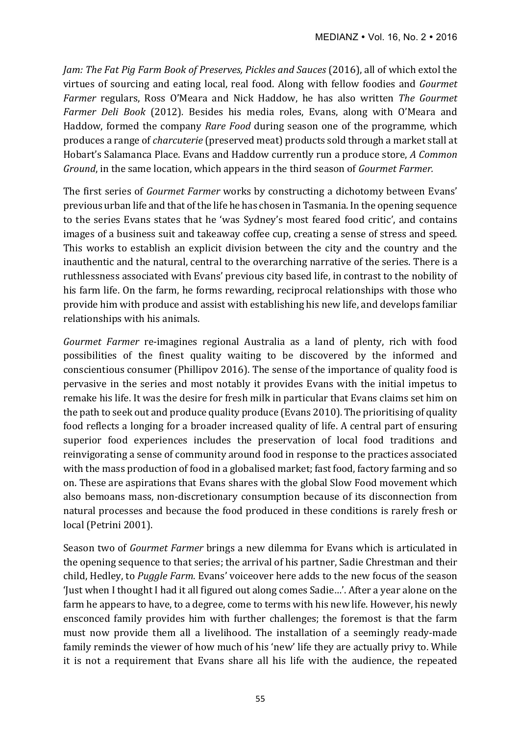*Jam: The Fat Pig Farm Book of Preserves, Pickles and Sauces* (2016), all of which extol the virtues of sourcing and eating local, real food. Along with fellow foodies and *Gourmet Farmer* regulars, Ross O'Meara and Nick Haddow, he has also written *The Gourmet Farmer Deli Book* (2012). Besides his media roles, Evans, along with O'Meara and Haddow, formed the company *Rare Food* during season one of the programme, which produces a range of *charcuterie* (preserved meat) products sold through a market stall at Hobart's Salamanca Place. Evans and Haddow currently run a produce store, *A Common Ground*, in the same location, which appears in the third season of *Gourmet Farmer.* 

The first series of *Gourmet Farmer* works by constructing a dichotomy between Evans' previous urban life and that of the life he has chosen in Tasmania. In the opening sequence to the series Evans states that he 'was Sydney's most feared food critic', and contains images of a business suit and takeaway coffee cup, creating a sense of stress and speed. This works to establish an explicit division between the city and the country and the inauthentic and the natural, central to the overarching narrative of the series. There is a ruthlessness associated with Evans' previous city based life, in contrast to the nobility of his farm life. On the farm, he forms rewarding, reciprocal relationships with those who provide him with produce and assist with establishing his new life, and develops familiar relationships with his animals.

*Gourmet Farmer* re-imagines regional Australia as a land of plenty, rich with food possibilities of the finest quality waiting to be discovered by the informed and conscientious consumer (Phillipov 2016). The sense of the importance of quality food is pervasive in the series and most notably it provides Evans with the initial impetus to remake his life. It was the desire for fresh milk in particular that Evans claims set him on the path to seek out and produce quality produce (Evans 2010). The prioritising of quality food reflects a longing for a broader increased quality of life. A central part of ensuring superior food experiences includes the preservation of local food traditions and reinvigorating a sense of community around food in response to the practices associated with the mass production of food in a globalised market; fast food, factory farming and so on. These are aspirations that Evans shares with the global Slow Food movement which also bemoans mass, non-discretionary consumption because of its disconnection from natural processes and because the food produced in these conditions is rarely fresh or local (Petrini 2001).

Season two of *Gourmet Farmer* brings a new dilemma for Evans which is articulated in the opening sequence to that series; the arrival of his partner, Sadie Chrestman and their child, Hedley, to *Puggle Farm*. Evans' voiceover here adds to the new focus of the season 'Just when I thought I had it all figured out along comes Sadie...'. After a year alone on the farm he appears to have, to a degree, come to terms with his new life. However, his newly ensconced family provides him with further challenges; the foremost is that the farm must now provide them all a livelihood. The installation of a seemingly ready-made family reminds the viewer of how much of his 'new' life they are actually privy to. While it is not a requirement that Evans share all his life with the audience, the repeated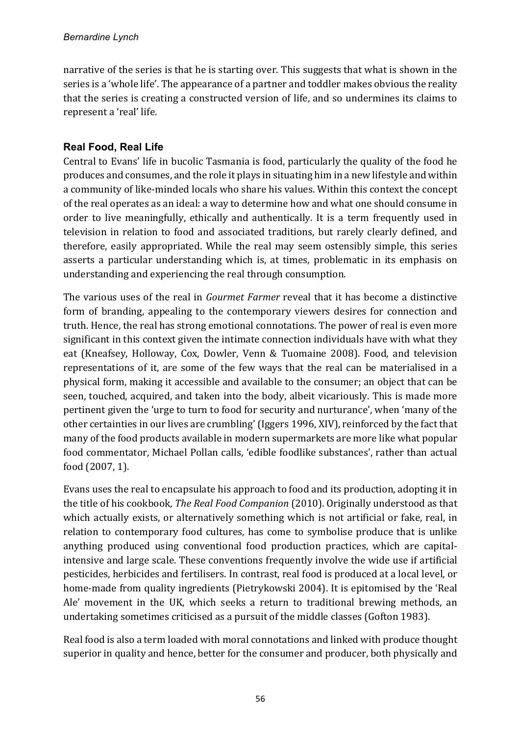narrative of the series is that he is starting over. This suggests that what is shown in the series is a 'whole life'. The appearance of a partner and toddler makes obvious the reality that the series is creating a constructed version of life, and so undermines its claims to represent a 'real' life.

### **Real Food, Real Life**

Central to Evans' life in bucolic Tasmania is food, particularly the quality of the food he produces and consumes, and the role it plays in situating him in a new lifestyle and within a community of like-minded locals who share his values. Within this context the concept of the real operates as an ideal: a way to determine how and what one should consume in order to live meaningfully, ethically and authentically. It is a term frequently used in television in relation to food and associated traditions, but rarely clearly defined, and therefore, easily appropriated. While the real may seem ostensibly simple, this series asserts a particular understanding which is, at times, problematic in its emphasis on understanding and experiencing the real through consumption.

The various uses of the real in *Gourmet Farmer* reveal that it has become a distinctive form of branding, appealing to the contemporary viewers desires for connection and truth. Hence, the real has strong emotional connotations. The power of real is even more significant in this context given the intimate connection individuals have with what they eat (Kneafsey, Holloway, Cox, Dowler, Venn & Tuomaine 2008). Food, and television representations of it, are some of the few ways that the real can be materialised in a physical form, making it accessible and available to the consumer; an object that can be seen, touched, acquired, and taken into the body, albeit vicariously. This is made more pertinent given the 'urge to turn to food for security and nurturance', when 'many of the other certainties in our lives are crumbling' (Iggers 1996, XIV), reinforced by the fact that many of the food products available in modern supermarkets are more like what popular food commentator, Michael Pollan calls, 'edible foodlike substances', rather than actual food (2007, 1).

Evans uses the real to encapsulate his approach to food and its production, adopting it in the title of his cookbook, *The Real Food Companion* (2010). Originally understood as that which actually exists, or alternatively something which is not artificial or fake, real, in relation to contemporary food cultures, has come to symbolise produce that is unlike anything produced using conventional food production practices, which are capitalintensive and large scale. These conventions frequently involve the wide use if artificial pesticides, herbicides and fertilisers. In contrast, real food is produced at a local level, or home-made from quality ingredients (Pietrykowski 2004). It is epitomised by the 'Real Ale' movement in the UK, which seeks a return to traditional brewing methods, an undertaking sometimes criticised as a pursuit of the middle classes (Gofton 1983).

Real food is also a term loaded with moral connotations and linked with produce thought superior in quality and hence, better for the consumer and producer, both physically and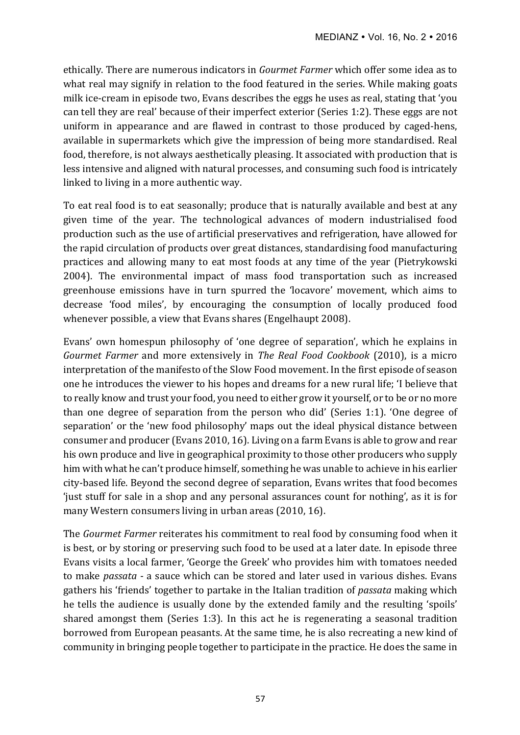ethically. There are numerous indicators in *Gourmet Farmer* which offer some idea as to what real may signify in relation to the food featured in the series. While making goats milk ice-cream in episode two, Evans describes the eggs he uses as real, stating that 'you can tell they are real' because of their imperfect exterior (Series 1:2). These eggs are not uniform in appearance and are flawed in contrast to those produced by caged-hens, available in supermarkets which give the impression of being more standardised. Real food, therefore, is not always aesthetically pleasing. It associated with production that is less intensive and aligned with natural processes, and consuming such food is intricately linked to living in a more authentic way.

To eat real food is to eat seasonally; produce that is naturally available and best at any given time of the year. The technological advances of modern industrialised food production such as the use of artificial preservatives and refrigeration, have allowed for the rapid circulation of products over great distances, standardising food manufacturing practices and allowing many to eat most foods at any time of the year (Pietrykowski 2004). The environmental impact of mass food transportation such as increased greenhouse emissions have in turn spurred the 'locavore' movement, which aims to decrease 'food miles', by encouraging the consumption of locally produced food whenever possible, a view that Evans shares (Engelhaupt 2008).

Evans' own homespun philosophy of 'one degree of separation', which he explains in *Gourmet Farmer* and more extensively in *The Real Food Cookbook* (2010), is a micro interpretation of the manifesto of the Slow Food movement. In the first episode of season one he introduces the viewer to his hopes and dreams for a new rural life; 'I believe that to really know and trust your food, you need to either grow it yourself, or to be or no more than one degree of separation from the person who did' (Series 1:1). 'One degree of separation' or the 'new food philosophy' maps out the ideal physical distance between consumer and producer (Evans 2010, 16). Living on a farm Evans is able to grow and rear his own produce and live in geographical proximity to those other producers who supply him with what he can't produce himself, something he was unable to achieve in his earlier city-based life. Beyond the second degree of separation, Evans writes that food becomes 'just stuff for sale in a shop and any personal assurances count for nothing', as it is for many Western consumers living in urban areas (2010, 16).

The *Gourmet Farmer* reiterates his commitment to real food by consuming food when it is best, or by storing or preserving such food to be used at a later date. In episode three Evans visits a local farmer, 'George the Greek' who provides him with tomatoes needed to make *passata* - a sauce which can be stored and later used in various dishes. Evans gathers his 'friends' together to partake in the Italian tradition of *passata* making which he tells the audience is usually done by the extended family and the resulting 'spoils' shared amongst them (Series 1:3). In this act he is regenerating a seasonal tradition borrowed from European peasants. At the same time, he is also recreating a new kind of community in bringing people together to participate in the practice. He does the same in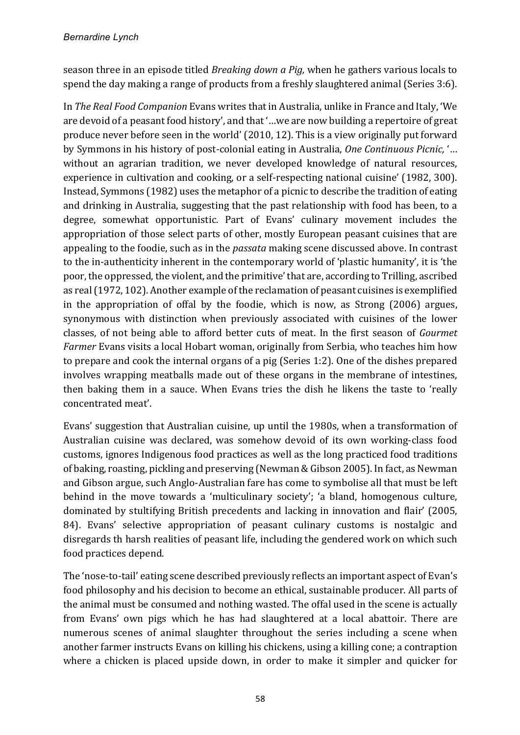season three in an episode titled *Breaking down a Pig,* when he gathers various locals to spend the day making a range of products from a freshly slaughtered animal (Series 3:6).

In *The Real Food Companion* Evans writes that in Australia, unlike in France and Italy, 'We are devoid of a peasant food history', and that '...we are now building a repertoire of great produce never before seen in the world' (2010, 12). This is a view originally put forward by Symmons in his history of post-colonial eating in Australia, One Continuous Picnic, '... without an agrarian tradition, we never developed knowledge of natural resources, experience in cultivation and cooking, or a self-respecting national cuisine' (1982, 300). Instead, Symmons (1982) uses the metaphor of a picnic to describe the tradition of eating and drinking in Australia, suggesting that the past relationship with food has been, to a degree, somewhat opportunistic. Part of Evans' culinary movement includes the appropriation of those select parts of other, mostly European peasant cuisines that are appealing to the foodie, such as in the *passata* making scene discussed above. In contrast to the in-authenticity inherent in the contemporary world of 'plastic humanity', it is 'the poor, the oppressed, the violent, and the primitive' that are, according to Trilling, ascribed as real (1972, 102). Another example of the reclamation of peasant cuisines is exemplified in the appropriation of offal by the foodie, which is now, as Strong  $(2006)$  argues, synonymous with distinction when previously associated with cuisines of the lower classes, of not being able to afford better cuts of meat. In the first season of *Gourmet Farmer* Evans visits a local Hobart woman, originally from Serbia, who teaches him how to prepare and cook the internal organs of a pig (Series 1:2). One of the dishes prepared involves wrapping meatballs made out of these organs in the membrane of intestines, then baking them in a sauce. When Evans tries the dish he likens the taste to 'really concentrated meat'.

Evans' suggestion that Australian cuisine, up until the 1980s, when a transformation of Australian cuisine was declared, was somehow devoid of its own working-class food customs, ignores Indigenous food practices as well as the long practiced food traditions of baking, roasting, pickling and preserving (Newman & Gibson 2005). In fact, as Newman and Gibson argue, such Anglo-Australian fare has come to symbolise all that must be left behind in the move towards a 'multiculinary society'; 'a bland, homogenous culture, dominated by stultifying British precedents and lacking in innovation and flair' (2005, 84). Evans' selective appropriation of peasant culinary customs is nostalgic and disregards th harsh realities of peasant life, including the gendered work on which such food practices depend.

The 'nose-to-tail' eating scene described previously reflects an important aspect of Evan's food philosophy and his decision to become an ethical, sustainable producer. All parts of the animal must be consumed and nothing wasted. The offal used in the scene is actually from Evans' own pigs which he has had slaughtered at a local abattoir. There are numerous scenes of animal slaughter throughout the series including a scene when another farmer instructs Evans on killing his chickens, using a killing cone; a contraption where a chicken is placed upside down, in order to make it simpler and quicker for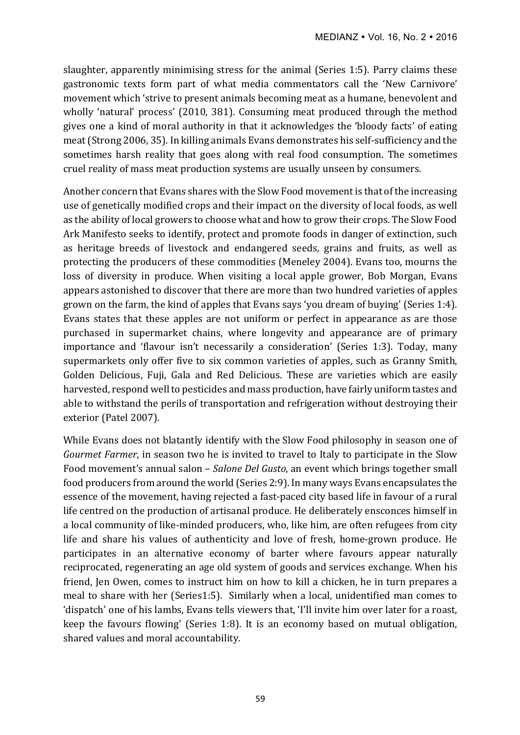slaughter, apparently minimising stress for the animal (Series 1:5). Parry claims these gastronomic texts form part of what media commentators call the 'New Carnivore' movement which 'strive to present animals becoming meat as a humane, benevolent and wholly 'natural' process' (2010, 381). Consuming meat produced through the method gives one a kind of moral authority in that it acknowledges the 'bloody facts' of eating meat (Strong 2006, 35). In killing animals Evans demonstrates his self-sufficiency and the sometimes harsh reality that goes along with real food consumption. The sometimes cruel reality of mass meat production systems are usually unseen by consumers.

Another concern that Evans shares with the Slow Food movement is that of the increasing use of genetically modified crops and their impact on the diversity of local foods, as well as the ability of local growers to choose what and how to grow their crops. The Slow Food Ark Manifesto seeks to identify, protect and promote foods in danger of extinction, such as heritage breeds of livestock and endangered seeds, grains and fruits, as well as protecting the producers of these commodities (Meneley 2004). Evans too, mourns the loss of diversity in produce. When visiting a local apple grower, Bob Morgan, Evans appears astonished to discover that there are more than two hundred varieties of apples grown on the farm, the kind of apples that Evans says 'you dream of buying' (Series 1:4). Evans states that these apples are not uniform or perfect in appearance as are those purchased in supermarket chains, where longevity and appearance are of primary importance and 'flavour isn't necessarily a consideration' (Series 1:3). Today, many supermarkets only offer five to six common varieties of apples, such as Granny Smith, Golden Delicious, Fuji, Gala and Red Delicious. These are varieties which are easily harvested, respond well to pesticides and mass production, have fairly uniform tastes and able to withstand the perils of transportation and refrigeration without destroying their exterior (Patel 2007).

While Evans does not blatantly identify with the Slow Food philosophy in season one of *Gourmet Farmer*, in season two he is invited to travel to Italy to participate in the Slow Food movement's annual salon – *Salone Del Gusto*, an event which brings together small food producers from around the world (Series 2:9). In many ways Evans encapsulates the essence of the movement, having rejected a fast-paced city based life in favour of a rural life centred on the production of artisanal produce. He deliberately ensconces himself in a local community of like-minded producers, who, like him, are often refugees from city life and share his values of authenticity and love of fresh, home-grown produce. He participates in an alternative economy of barter where favours appear naturally reciprocated, regenerating an age old system of goods and services exchange. When his friend, Jen Owen, comes to instruct him on how to kill a chicken, he in turn prepares a meal to share with her (Series1:5). Similarly when a local, unidentified man comes to 'dispatch' one of his lambs, Evans tells viewers that, 'I'll invite him over later for a roast, keep the favours flowing' (Series 1:8). It is an economy based on mutual obligation, shared values and moral accountability.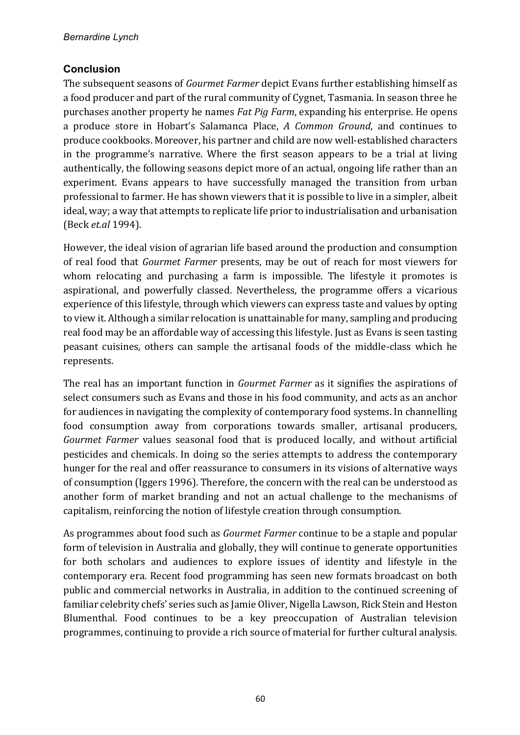## **Conclusion**

The subsequent seasons of *Gourmet Farmer* depict Evans further establishing himself as a food producer and part of the rural community of Cygnet, Tasmania. In season three he purchases another property he names *Fat Pig Farm*, expanding his enterprise. He opens a produce store in Hobart's Salamanca Place, *A Common Ground*, and continues to produce cookbooks. Moreover, his partner and child are now well-established characters in the programme's narrative. Where the first season appears to be a trial at living authentically, the following seasons depict more of an actual, ongoing life rather than an experiment. Evans appears to have successfully managed the transition from urban professional to farmer. He has shown viewers that it is possible to live in a simpler, albeit ideal, way; a way that attempts to replicate life prior to industrialisation and urbanisation (Beck *et.al* 1994). 

However, the ideal vision of agrarian life based around the production and consumption of real food that *Gourmet Farmer* presents, may be out of reach for most viewers for whom relocating and purchasing a farm is impossible. The lifestyle it promotes is aspirational, and powerfully classed. Nevertheless, the programme offers a vicarious experience of this lifestyle, through which viewers can express taste and values by opting to view it. Although a similar relocation is unattainable for many, sampling and producing real food may be an affordable way of accessing this lifestyle. Just as Evans is seen tasting peasant cuisines, others can sample the artisanal foods of the middle-class which he represents.

The real has an important function in *Gourmet Farmer* as it signifies the aspirations of select consumers such as Evans and those in his food community, and acts as an anchor for audiences in navigating the complexity of contemporary food systems. In channelling food consumption away from corporations towards smaller, artisanal producers, *Gourmet Farmer* values seasonal food that is produced locally, and without artificial pesticides and chemicals. In doing so the series attempts to address the contemporary hunger for the real and offer reassurance to consumers in its visions of alternative ways of consumption (Iggers 1996). Therefore, the concern with the real can be understood as another form of market branding and not an actual challenge to the mechanisms of capitalism, reinforcing the notion of lifestyle creation through consumption.

As programmes about food such as *Gourmet Farmer* continue to be a staple and popular form of television in Australia and globally, they will continue to generate opportunities for both scholars and audiences to explore issues of identity and lifestyle in the contemporary era. Recent food programming has seen new formats broadcast on both public and commercial networks in Australia, in addition to the continued screening of familiar celebrity chefs' series such as Jamie Oliver, Nigella Lawson, Rick Stein and Heston Blumenthal. Food continues to be a key preoccupation of Australian television programmes, continuing to provide a rich source of material for further cultural analysis.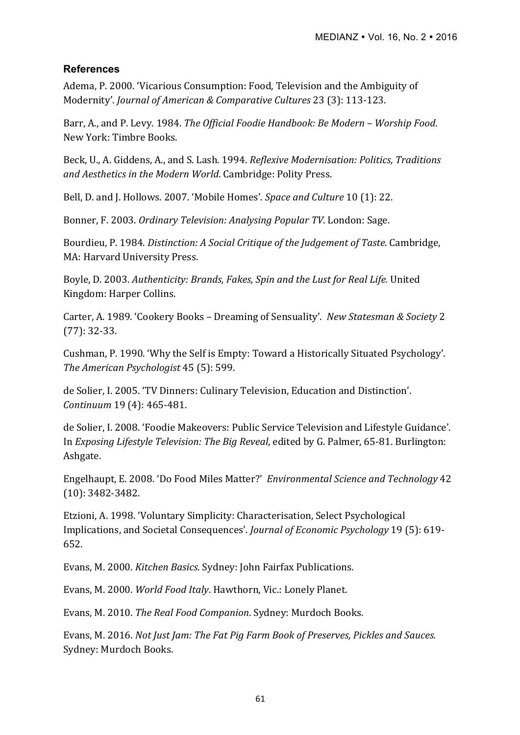### **References**

Adema, P. 2000. 'Vicarious Consumption: Food, Television and the Ambiguity of Modernity'. *Journal of American & Comparative Cultures* 23 (3): 113-123.

Barr, A., and P. Levy. 1984. *The Official Foodie Handbook: Be Modern – Worship Food.* New York: Timbre Books.

Beck, U., A. Giddens, A., and S. Lash. 1994. *Reflexive Modernisation: Politics, Traditions* and Aesthetics in the Modern World. Cambridge: Polity Press.

Bell, D. and J. Hollows. 2007. 'Mobile Homes'. *Space and Culture* 10 (1): 22.

Bonner, F. 2003. *Ordinary Television: Analysing Popular TV*. London: Sage.

Bourdieu, P. 1984. *Distinction: A Social Critique of the Judgement of Taste*. Cambridge, MA: Harvard University Press.

Boyle, D. 2003. Authenticity: Brands, Fakes, Spin and the Lust for Real Life. United Kingdom: Harper Collins.

Carter, A. 1989. 'Cookery Books - Dreaming of Sensuality'. New Statesman & Society 2 (77): 32-33. 

Cushman, P. 1990. 'Why the Self is Empty: Toward a Historically Situated Psychology'. *The American Psychologist* 45 (5): 599. 

de Solier, I. 2005. 'TV Dinners: Culinary Television, Education and Distinction'. *Continuum* 19 (4): 465-481. 

de Solier, I. 2008. 'Foodie Makeovers: Public Service Television and Lifestyle Guidance'. In *Exposing Lifestyle Television: The Big Reveal*, edited by G. Palmer, 65-81. Burlington: Ashgate. 

Engelhaupt, E. 2008. 'Do Food Miles Matter?' Environmental Science and Technology 42 (10): 3482-3482.

Etzioni, A. 1998. 'Voluntary Simplicity: Characterisation, Select Psychological Implications, and Societal Consequences'. *Journal of Economic Psychology* 19 (5): 619-652.

Evans, M. 2000. *Kitchen Basics*. Sydney: John Fairfax Publications.

Evans, M. 2000. *World Food Italy*. Hawthorn, Vic.: Lonely Planet.

Evans, M. 2010. *The Real Food Companion*. Sydney: Murdoch Books.

Evans, M. 2016. *Not Just Jam: The Fat Pig Farm Book of Preserves, Pickles and Sauces.* Sydney: Murdoch Books.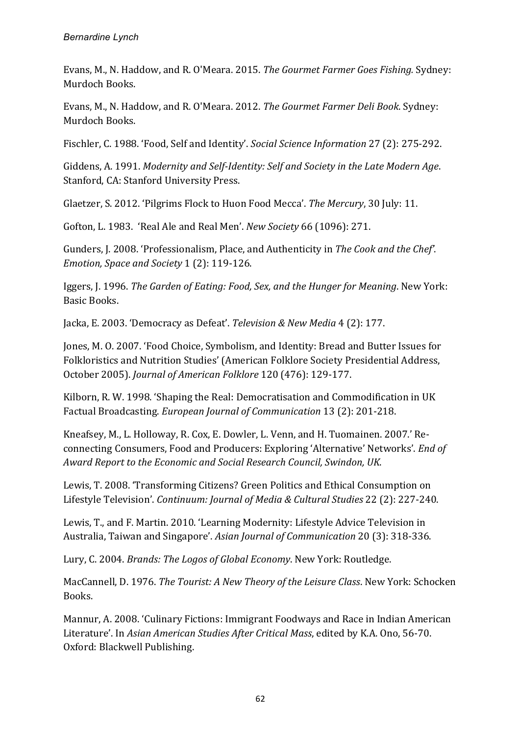Evans, M., N. Haddow, and R. O'Meara. 2015. *The Gourmet Farmer Goes Fishing.* Sydney: Murdoch Books.

Evans, M., N. Haddow, and R. O'Meara. 2012. *The Gourmet Farmer Deli Book*. Sydney: Murdoch Books.

Fischler, C. 1988. 'Food, Self and Identity'. *Social Science Information* 27 (2): 275-292.

Giddens, A. 1991. Modernity and Self-Identity: Self and Society in the Late Modern Age. Stanford, CA: Stanford University Press.

Glaetzer, S. 2012. 'Pilgrims Flock to Huon Food Mecca'. *The Mercury*, 30 July: 11.

Gofton, L. 1983. 'Real Ale and Real Men'. *New Society* 66 (1096): 271.

Gunders, J. 2008. 'Professionalism, Place, and Authenticity in The Cook and the Chef'. *Emotion, Space and Society* 1 (2): 119-126.

Iggers, J. 1996. *The Garden of Eating: Food, Sex, and the Hunger for Meaning*. New York: Basic Books.

Jacka, E. 2003. 'Democracy as Defeat'. *Television & New Media* 4 (2): 177.

Jones, M. O. 2007. 'Food Choice, Symbolism, and Identity: Bread and Butter Issues for Folkloristics and Nutrition Studies' (American Folklore Society Presidential Address, October 2005). *Journal of American Folklore* 120 (476): 129-177. 

Kilborn, R. W. 1998. 'Shaping the Real: Democratisation and Commodification in UK Factual Broadcasting. *European Journal of Communication* 13 (2): 201-218.

Kneafsey, M., L. Holloway, R. Cox, E. Dowler, L. Venn, and H. Tuomainen. 2007.' Reconnecting Consumers, Food and Producers: Exploring 'Alternative' Networks'. *End of* Award Report to the Economic and Social Research Council, Swindon, UK.

Lewis, T. 2008. 'Transforming Citizens? Green Politics and Ethical Consumption on Lifestyle Television'. *Continuum: Journal of Media & Cultural Studies* 22 (2): 227-240.

Lewis, T., and F. Martin. 2010. 'Learning Modernity: Lifestyle Advice Television in Australia, Taiwan and Singapore'. Asian Journal of Communication 20 (3): 318-336.

Lury, C. 2004. *Brands: The Logos of Global Economy*. New York: Routledge.

MacCannell, D. 1976. *The Tourist: A New Theory of the Leisure Class*. New York: Schocken Books.

Mannur, A. 2008. 'Culinary Fictions: Immigrant Foodways and Race in Indian American Literature'. In *Asian American Studies After Critical Mass*, edited by K.A. Ono, 56-70. Oxford: Blackwell Publishing.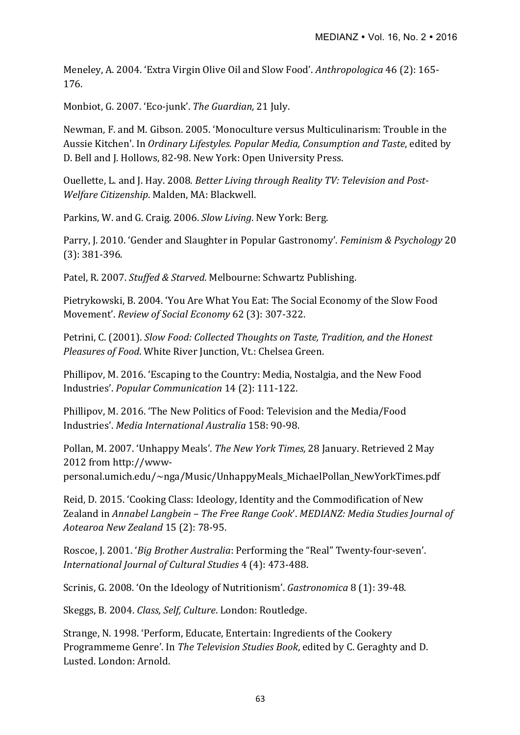Meneley, A. 2004. 'Extra Virgin Olive Oil and Slow Food'. Anthropologica 46 (2): 165-176. 

Monbiot, G. 2007. 'Eco-junk'. The Guardian, 21 July.

Newman, F. and M. Gibson. 2005. 'Monoculture versus Multiculinarism: Trouble in the Aussie Kitchen'. In *Ordinary Lifestyles. Popular Media, Consumption and Taste*, edited by D. Bell and J. Hollows, 82-98. New York: Open University Press.

Ouellette, L. and J. Hay. 2008. *Better Living through Reality TV: Television and Post-*Welfare Citizenship. Malden, MA: Blackwell.

Parkins, W. and G. Craig. 2006. *Slow Living*. New York: Berg.

Parry, J. 2010. 'Gender and Slaughter in Popular Gastronomy'. *Feminism & Psychology* 20 (3): 381-396.

Patel, R. 2007. *Stuffed & Starved*. Melbourne: Schwartz Publishing.

Pietrykowski, B. 2004. 'You Are What You Eat: The Social Economy of the Slow Food Movement'. *Review of Social Economy* 62 (3): 307-322. 

Petrini, C. (2001). *Slow Food: Collected Thoughts on Taste, Tradition, and the Honest Pleasures of Food*. White River Junction, Vt.: Chelsea Green.

Phillipov, M. 2016. 'Escaping to the Country: Media, Nostalgia, and the New Food Industries'. *Popular Communication* 14 (2): 111-122.

Phillipov, M. 2016. 'The New Politics of Food: Television and the Media/Food Industries'. *Media International Australia* 158: 90-98.

Pollan, M. 2007. 'Unhappy Meals'. *The New York Times,* 28 January. Retrieved 2 May 2012 from http://wwwpersonal.umich.edu/~nga/Music/UnhappyMeals\_MichaelPollan\_NewYorkTimes.pdf

Reid, D. 2015. 'Cooking Class: Ideology, Identity and the Commodification of New Zealand in *Annabel Langbein* – The Free Range Cook'. MEDIANZ: Media Studies Journal of *Aotearoa New Zealand* 15 (2): 78-95.

Roscoe, J. 2001. '*Big Brother Australia*: Performing the "Real" Twenty-four-seven'. *International Journal of Cultural Studies* 4 (4): 473-488.

Scrinis, G. 2008. 'On the Ideology of Nutritionism'. *Gastronomica* 8 (1): 39-48.

Skeggs, B. 2004. *Class, Self, Culture*. London: Routledge.

Strange, N. 1998. 'Perform, Educate, Entertain: Ingredients of the Cookery Programmeme Genre'. In *The Television Studies Book*, edited by C. Geraghty and D. Lusted. London: Arnold.